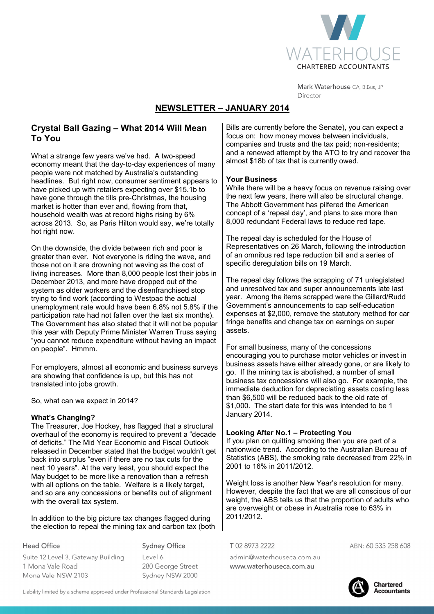

Mark Waterhouse CA, B.Bus, JP Director

# **NEWSLETTER – JANUARY 2014**

## **Crystal Ball Gazing – What 2014 Will Mean To You**

What a strange few years we've had. A two-speed economy meant that the day-to-day experiences of many people were not matched by Australia's outstanding headlines. But right now, consumer sentiment appears to have picked up with retailers expecting over \$15.1b to have gone through the tills pre-Christmas, the housing market is hotter than ever and, flowing from that, household wealth was at record highs rising by 6% across 2013. So, as Paris Hilton would say, we're totally hot right now.

On the downside, the divide between rich and poor is greater than ever. Not everyone is riding the wave, and those not on it are drowning not waving as the cost of living increases. More than 8,000 people lost their jobs in December 2013, and more have dropped out of the system as older workers and the disenfranchised stop trying to find work (according to Westpac the actual unemployment rate would have been 6.8% not 5.8% if the participation rate had not fallen over the last six months). The Government has also stated that it will not be popular this year with Deputy Prime Minister Warren Truss saying "you cannot reduce expenditure without having an impact on people". Hmmm.

For employers, almost all economic and business surveys are showing that confidence is up, but this has not translated into jobs growth.

So, what can we expect in 2014?

### **What's Changing?**

The Treasurer, Joe Hockey, has flagged that a structural overhaul of the economy is required to prevent a "decade of deficits." The Mid Year Economic and Fiscal Outlook released in December stated that the budget wouldn't get back into surplus "even if there are no tax cuts for the next 10 years". At the very least, you should expect the May budget to be more like a renovation than a refresh with all options on the table. Welfare is a likely target, and so are any concessions or benefits out of alignment with the overall tax system.

In addition to the big picture tax changes flagged during the election to repeal the mining tax and carbon tax (both

**Head Office** 

**Sydney Office** 

Suite 12 Level 3, Gateway Building 1 Mona Vale Road Mona Vale NSW 2103

Level 6 280 George Street Sydney NSW 2000 Bills are currently before the Senate), you can expect a focus on: how money moves between individuals, companies and trusts and the tax paid; non-residents; and a renewed attempt by the ATO to try and recover the almost \$18b of tax that is currently owed.

#### **Your Business**

While there will be a heavy focus on revenue raising over the next few years, there will also be structural change. The Abbott Government has pilfered the American concept of a 'repeal day', and plans to axe more than 8,000 redundant Federal laws to reduce red tape.

The repeal day is scheduled for the House of Representatives on 26 March, following the introduction of an omnibus red tape reduction bill and a series of specific deregulation bills on 19 March.

The repeal day follows the scrapping of 71 unlegislated and unresolved tax and super announcements late last year. Among the items scrapped were the Gillard/Rudd Government's announcements to cap self-education expenses at \$2,000, remove the statutory method for car fringe benefits and change tax on earnings on super assets.

For small business, many of the concessions encouraging you to purchase motor vehicles or invest in business assets have either already gone, or are likely to go. If the mining tax is abolished, a number of small business tax concessions will also go. For example, the immediate deduction for depreciating assets costing less than \$6,500 will be reduced back to the old rate of \$1,000. The start date for this was intended to be 1 January 2014.

### **Looking After No.1 – Protecting You**

If you plan on quitting smoking then you are part of a nationwide trend. According to the Australian Bureau of Statistics (ABS), the smoking rate decreased from 22% in 2001 to 16% in 2011/2012.

Weight loss is another New Year's resolution for many. However, despite the fact that we are all conscious of our weight, the ABS tells us that the proportion of adults who are overweight or obese in Australia rose to 63% in 2011/2012.

T0289732222

admin@waterhouseca.com.au www.waterhouseca.com.au

ABN: 60 535 258 608



**Chartered** Accountants

Liability limited by a scheme approved under Professional Standards Legislation